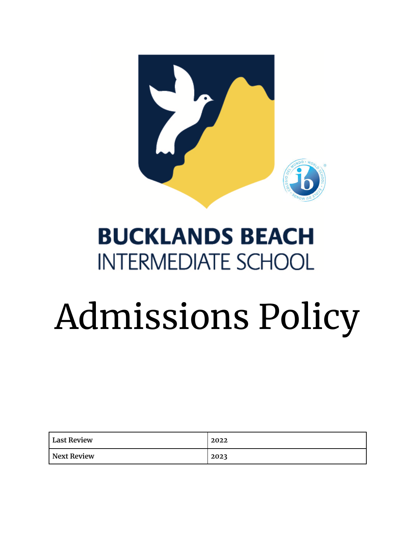

## **BUCKLANDS BEACH INTERMEDIATE SCHOOL**

## Admissions Policy

| <b>Last Review</b> | 2022 |
|--------------------|------|
| Next Review        | 2023 |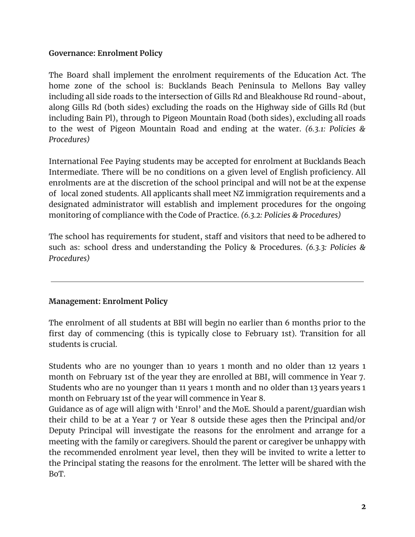## **Governance: Enrolment Policy**

The Board shall implement the enrolment requirements of the Education Act. The home zone of the school is: Bucklands Beach Peninsula to Mellons Bay valley including all side roads to the intersection of Gills Rd and Bleakhouse Rd round-about, along Gills Rd (both sides) excluding the roads on the Highway side of Gills Rd (but including Bain Pl), through to Pigeon Mountain Road (both sides), excluding all roads to the west of Pigeon Mountain Road and ending at the water. *(6.3.1: Policies & Procedures)*

International Fee Paying students may be accepted for enrolment at Bucklands Beach Intermediate. There will be no conditions on a given level of English proficiency. All enrolments are at the discretion of the school principal and will not be at the expense of local zoned students. All applicants shall meet NZ immigration requirements and a designated administrator will establish and implement procedures for the ongoing monitoring of compliance with the Code of Practice. *(6.3.2: Policies & Procedures)*

The school has requirements for student, staff and visitors that need to be adhered to such as: school dress and understanding the Policy & Procedures. *(6.3.3: Policies & Procedures)*

## **Management: Enrolment Policy**

The enrolment of all students at BBI will begin no earlier than 6 months prior to the first day of commencing (this is typically close to February 1st). Transition for all students is crucial.

Students who are no younger than 10 years 1 month and no older than 12 years 1 month on February 1st of the year they are enrolled at BBI, will commence in Year 7. Students who are no younger than 11 years 1 month and no older than 13 years years 1 month on February 1st of the year will commence in Year 8.

Guidance as of age will align with 'Enrol' and the MoE. Should a parent/guardian wish their child to be at a Year 7 or Year 8 outside these ages then the Principal and/or Deputy Principal will investigate the reasons for the enrolment and arrange for a meeting with the family or caregivers. Should the parent or caregiver be unhappy with the recommended enrolment year level, then they will be invited to write a letter to the Principal stating the reasons for the enrolment. The letter will be shared with the BoT.